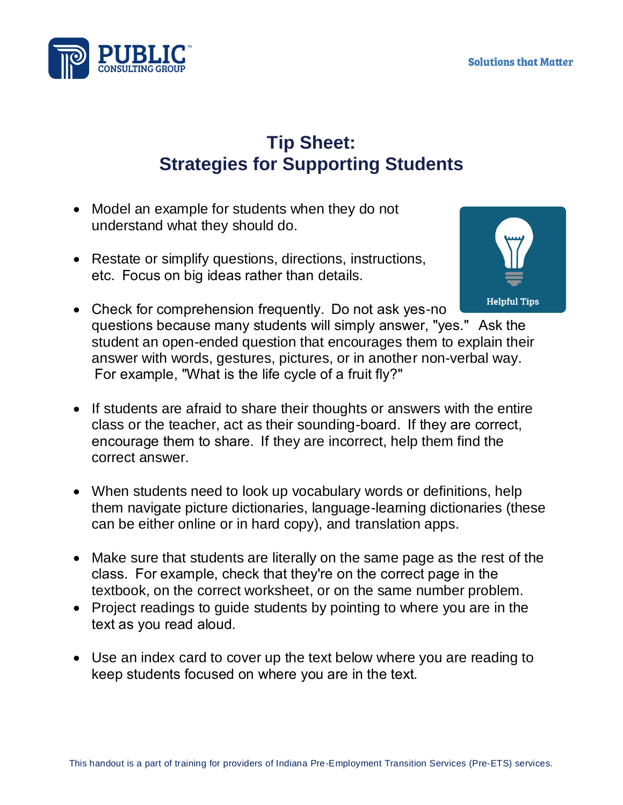

## **Tip Sheet: Strategies for Supporting Students**

- Model an example for students when they do not understand what they should do.
- Restate or simplify questions, directions, instructions, etc.  Focus on big ideas rather than details.



- Check for comprehension frequently. Do not ask yes-no questions because many students will simply answer, "yes."   Ask the student an open-ended question that encourages them to explain their answer with words, gestures, pictures, or in another non-verbal way.  For example, "What is the life cycle of a fruit fly?"
- If students are afraid to share their thoughts or answers with the entire class or the teacher, act as their sounding-board.  If they are correct, encourage them to share.  If they are incorrect, help them find the correct answer.
- When students need to look up vocabulary words or definitions, help them navigate picture dictionaries, language-learning dictionaries (these can be either online or in hard copy), and translation apps.
- Make sure that students are literally on the same page as the rest of the class.  For example, check that they're on the correct page in the textbook, on the correct worksheet, or on the same number problem.
- Project readings to guide students by pointing to where you are in the text as you read aloud.
- Use an index card to cover up the text below where you are reading to keep students focused on where you are in the text.